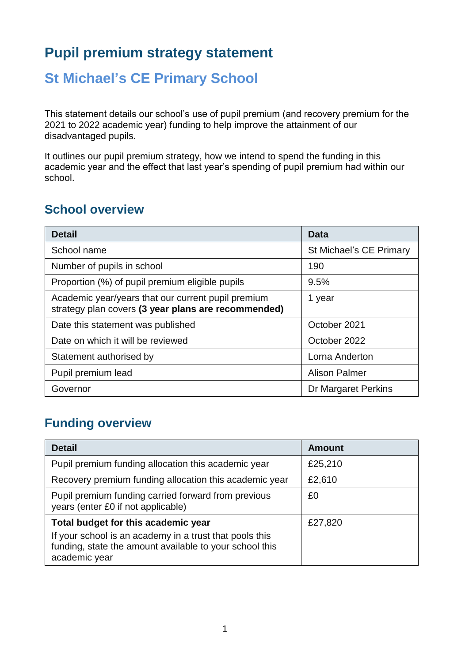# **Pupil premium strategy statement**

# **St Michael's CE Primary School**

This statement details our school's use of pupil premium (and recovery premium for the 2021 to 2022 academic year) funding to help improve the attainment of our disadvantaged pupils.

It outlines our pupil premium strategy, how we intend to spend the funding in this academic year and the effect that last year's spending of pupil premium had within our school.

## **School overview**

| <b>Detail</b>                                                                                             | Data                    |
|-----------------------------------------------------------------------------------------------------------|-------------------------|
| School name                                                                                               | St Michael's CE Primary |
| Number of pupils in school                                                                                | 190                     |
| Proportion (%) of pupil premium eligible pupils                                                           | 9.5%                    |
| Academic year/years that our current pupil premium<br>strategy plan covers (3 year plans are recommended) | 1 year                  |
| Date this statement was published                                                                         | October 2021            |
| Date on which it will be reviewed                                                                         | October 2022            |
| Statement authorised by                                                                                   | Lorna Anderton          |
| Pupil premium lead                                                                                        | <b>Alison Palmer</b>    |
| Governor                                                                                                  | Dr Margaret Perkins     |

# **Funding overview**

| <b>Detail</b>                                                                                                                       | <b>Amount</b> |
|-------------------------------------------------------------------------------------------------------------------------------------|---------------|
| Pupil premium funding allocation this academic year                                                                                 | £25,210       |
| Recovery premium funding allocation this academic year                                                                              | £2,610        |
| Pupil premium funding carried forward from previous<br>years (enter £0 if not applicable)                                           | £0            |
| Total budget for this academic year                                                                                                 | £27,820       |
| If your school is an academy in a trust that pools this<br>funding, state the amount available to your school this<br>academic year |               |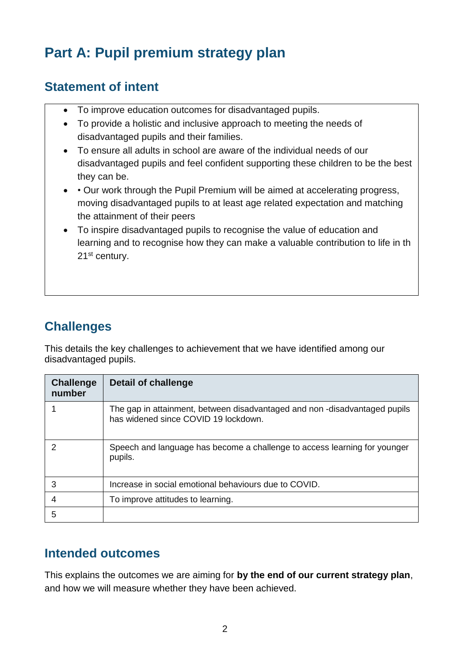# **Part A: Pupil premium strategy plan**

## **Statement of intent**

- To improve education outcomes for disadvantaged pupils.
- To provide a holistic and inclusive approach to meeting the needs of disadvantaged pupils and their families.
- To ensure all adults in school are aware of the individual needs of our disadvantaged pupils and feel confident supporting these children to be the best they can be.
- Our work through the Pupil Premium will be aimed at accelerating progress, moving disadvantaged pupils to at least age related expectation and matching the attainment of their peers
- To inspire disadvantaged pupils to recognise the value of education and learning and to recognise how they can make a valuable contribution to life in th 21<sup>st</sup> century.

# **Challenges**

This details the key challenges to achievement that we have identified among our disadvantaged pupils.

| <b>Challenge</b><br>number | <b>Detail of challenge</b>                                                                                         |
|----------------------------|--------------------------------------------------------------------------------------------------------------------|
|                            | The gap in attainment, between disadvantaged and non -disadvantaged pupils<br>has widened since COVID 19 lockdown. |
|                            | Speech and language has become a challenge to access learning for younger<br>pupils.                               |
| 3                          | Increase in social emotional behaviours due to COVID.                                                              |
|                            | To improve attitudes to learning.                                                                                  |
| 5                          |                                                                                                                    |

#### **Intended outcomes**

This explains the outcomes we are aiming for **by the end of our current strategy plan**, and how we will measure whether they have been achieved.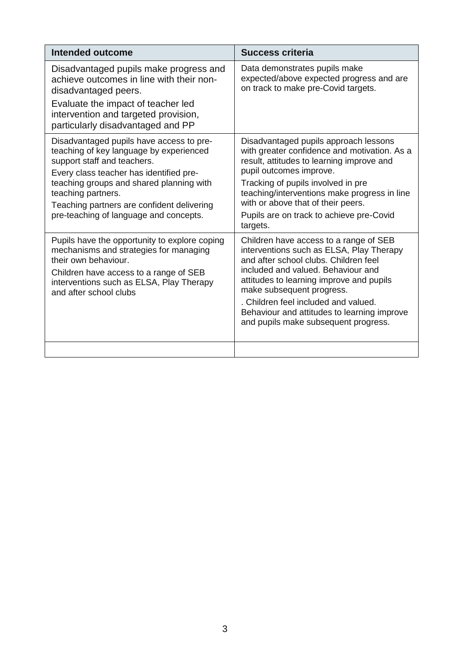| Intended outcome                                                                                                                                                                                                                | <b>Success criteria</b>                                                                                                                                                                                                                                                                                                                                                   |
|---------------------------------------------------------------------------------------------------------------------------------------------------------------------------------------------------------------------------------|---------------------------------------------------------------------------------------------------------------------------------------------------------------------------------------------------------------------------------------------------------------------------------------------------------------------------------------------------------------------------|
| Disadvantaged pupils make progress and<br>achieve outcomes in line with their non-<br>disadvantaged peers.<br>Evaluate the impact of teacher led                                                                                | Data demonstrates pupils make<br>expected/above expected progress and are<br>on track to make pre-Covid targets.                                                                                                                                                                                                                                                          |
| intervention and targeted provision,<br>particularly disadvantaged and PP                                                                                                                                                       |                                                                                                                                                                                                                                                                                                                                                                           |
| Disadvantaged pupils have access to pre-<br>teaching of key language by experienced<br>support staff and teachers.<br>Every class teacher has identified pre-<br>teaching groups and shared planning with                       | Disadvantaged pupils approach lessons<br>with greater confidence and motivation. As a<br>result, attitudes to learning improve and<br>pupil outcomes improve.<br>Tracking of pupils involved in pre                                                                                                                                                                       |
| teaching partners.<br>Teaching partners are confident delivering                                                                                                                                                                | teaching/interventions make progress in line<br>with or above that of their peers.                                                                                                                                                                                                                                                                                        |
| pre-teaching of language and concepts.                                                                                                                                                                                          | Pupils are on track to achieve pre-Covid<br>targets.                                                                                                                                                                                                                                                                                                                      |
| Pupils have the opportunity to explore coping<br>mechanisms and strategies for managing<br>their own behaviour.<br>Children have access to a range of SEB<br>interventions such as ELSA, Play Therapy<br>and after school clubs | Children have access to a range of SEB<br>interventions such as ELSA, Play Therapy<br>and after school clubs. Children feel<br>included and valued. Behaviour and<br>attitudes to learning improve and pupils<br>make subsequent progress.<br>. Children feel included and valued.<br>Behaviour and attitudes to learning improve<br>and pupils make subsequent progress. |
|                                                                                                                                                                                                                                 |                                                                                                                                                                                                                                                                                                                                                                           |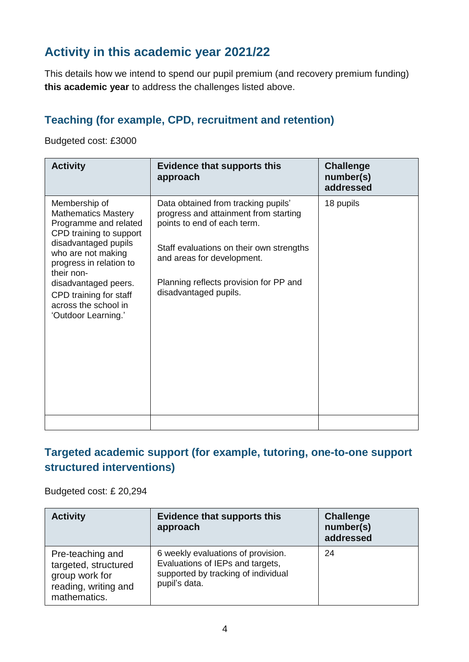# **Activity in this academic year 2021/22**

This details how we intend to spend our pupil premium (and recovery premium funding) **this academic year** to address the challenges listed above.

## **Teaching (for example, CPD, recruitment and retention)**

Budgeted cost: £3000

| <b>Activity</b>                                                                                                                                                                                                                                                                         | <b>Evidence that supports this</b><br>approach                                                                                                                                                                                                           | <b>Challenge</b><br>number(s)<br>addressed |
|-----------------------------------------------------------------------------------------------------------------------------------------------------------------------------------------------------------------------------------------------------------------------------------------|----------------------------------------------------------------------------------------------------------------------------------------------------------------------------------------------------------------------------------------------------------|--------------------------------------------|
| Membership of<br><b>Mathematics Mastery</b><br>Programme and related<br>CPD training to support<br>disadvantaged pupils<br>who are not making<br>progress in relation to<br>their non-<br>disadvantaged peers.<br>CPD training for staff<br>across the school in<br>'Outdoor Learning.' | Data obtained from tracking pupils'<br>progress and attainment from starting<br>points to end of each term.<br>Staff evaluations on their own strengths<br>and areas for development.<br>Planning reflects provision for PP and<br>disadvantaged pupils. | 18 pupils                                  |
|                                                                                                                                                                                                                                                                                         |                                                                                                                                                                                                                                                          |                                            |

### **Targeted academic support (for example, tutoring, one-to-one support structured interventions)**

Budgeted cost: £ 20,294

| <b>Activity</b>                                                                                    | <b>Evidence that supports this</b><br>approach                                                                                 | <b>Challenge</b><br>number(s)<br>addressed |
|----------------------------------------------------------------------------------------------------|--------------------------------------------------------------------------------------------------------------------------------|--------------------------------------------|
| Pre-teaching and<br>targeted, structured<br>group work for<br>reading, writing and<br>mathematics. | 6 weekly evaluations of provision.<br>Evaluations of IEPs and targets,<br>supported by tracking of individual<br>pupil's data. | 24                                         |